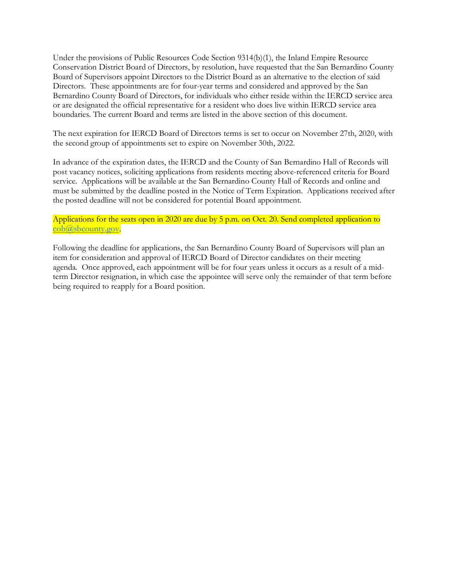Under the provisions of Public Resources Code Section 9314(b)(1), the Inland Empire Resource Conservation District Board of Directors, by resolution, have requested that the San Bernardino County Board of Supervisors appoint Directors to the District Board as an alternative to the election of said Directors. These appointments are for four-year terms and considered and approved by the San Bernardino County Board of Directors, for individuals who either reside within the IERCD service area or are designated the official representative for a resident who does live within IERCD service area boundaries. The current Board and terms are listed in the above section of this document.

The next expiration for IERCD Board of Directors terms is set to occur on November 27th, 2020, with the second group of appointments set to expire on November 30th, 2022.

In advance of the expiration dates, the IERCD and the County of San Bernardino Hall of Records will post vacancy notices, soliciting applications from residents meeting above-referenced criteria for Board service. Applications will be available at the San Bernardino County Hall of Records and online and must be submitted by the deadline posted in the Notice of Term Expiration. Applications received after the posted deadline will not be considered for potential Board appointment.

Applications for the seats open in 2020 are due by 5 p.m. on Oct. 20. Send completed application to cob@sbcounty.gov.

Following the deadline for applications, the San Bernardino County Board of Supervisors will plan an item for consideration and approval of IERCD Board of Director candidates on their meeting agenda. Once approved, each appointment will be for four years unless it occurs as a result of a midterm Director resignation, in which case the appointee will serve only the remainder of that term before being required to reapply for a Board position.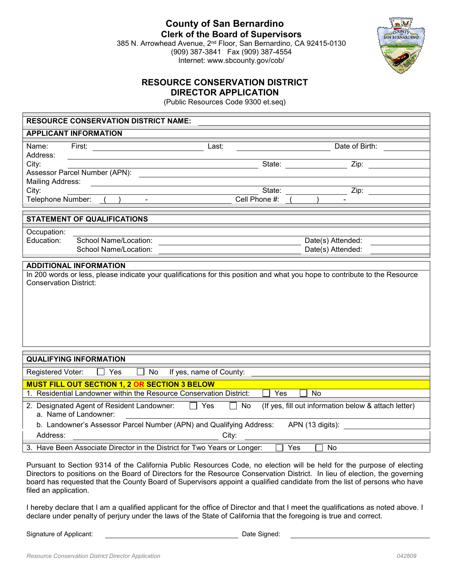**County of San Bernardino Clerk of the Board of Supervisors**

385 N. Arrowhead Avenue, 2nd Floor, San Bernardino, CA 92415-0130 (909) 387-3841 Fax (909) 387-4554 Internet: www.sbcounty.gov/cob/



## **RESOURCE CONSERVATION DISTRICT DIRECTOR APPLICATION**

(Public Resources Code 9300 et.seq)

|                                                                            | <b>RESOURCE CONSERVATION DISTRICT NAME:</b> |                                                      |  |  |  |
|----------------------------------------------------------------------------|---------------------------------------------|------------------------------------------------------|--|--|--|
| <b>APPLICANT INFORMATION</b>                                               |                                             |                                                      |  |  |  |
| Name:<br>First:<br>Last:<br>Address:                                       |                                             | Date of Birth:                                       |  |  |  |
| City:                                                                      | State:                                      | $\overline{Z}$ ip:                                   |  |  |  |
| Assessor Parcel Number (APN):                                              |                                             |                                                      |  |  |  |
| <b>Mailing Address:</b>                                                    |                                             |                                                      |  |  |  |
| City:                                                                      | State:<br>Cell Phone #:                     | Zip:                                                 |  |  |  |
| Telephone Number:<br>$\blacksquare$                                        |                                             |                                                      |  |  |  |
| <b>STATEMENT OF QUALIFICATIONS</b>                                         |                                             |                                                      |  |  |  |
| Occupation:                                                                |                                             |                                                      |  |  |  |
| School Name/Location:<br>Education:                                        |                                             | Date(s) Attended:                                    |  |  |  |
| School Name/Location:                                                      |                                             | Date(s) Attended:                                    |  |  |  |
| <b>ADDITIONAL INFORMATION</b>                                              |                                             |                                                      |  |  |  |
|                                                                            |                                             |                                                      |  |  |  |
|                                                                            |                                             |                                                      |  |  |  |
| <b>QUALIFYING INFORMATION</b>                                              |                                             |                                                      |  |  |  |
| Registered Voter:<br>Yes<br>If yes, name of County:<br>No                  |                                             |                                                      |  |  |  |
| <b>MUST FILL OUT SECTION 1, 2 OR SECTION 3 BELOW</b>                       |                                             |                                                      |  |  |  |
| 1. Residential Landowner within the Resource Conservation District:        | Yes                                         | <b>No</b>                                            |  |  |  |
| 2. Designated Agent of Resident Landowner:<br>Yes<br>a. Name of Landowner: | No                                          | (If yes, fill out information below & attach letter) |  |  |  |
| b. Landowner's Assessor Parcel Number (APN) and Qualifying Address:        |                                             | APN (13 digits):                                     |  |  |  |
| Address:                                                                   | City:                                       |                                                      |  |  |  |

Pursuant to Section 9314 of the California Public Resources Code, no election will be held for the purpose of electing Directors to positions on the Board of Directors for the Resource Conservation District. In lieu of election, the governing board has requested that the County Board of Supervisors appoint a qualified candidate from the list of persons who have filed an application.

I hereby declare that I am a qualified applicant for the office of Director and that I meet the qualifications as noted above. I declare under penalty of perjury under the laws of the State of California that the foregoing is true and correct.

Signature of Applicant: **Date Signed:** Date Signed: